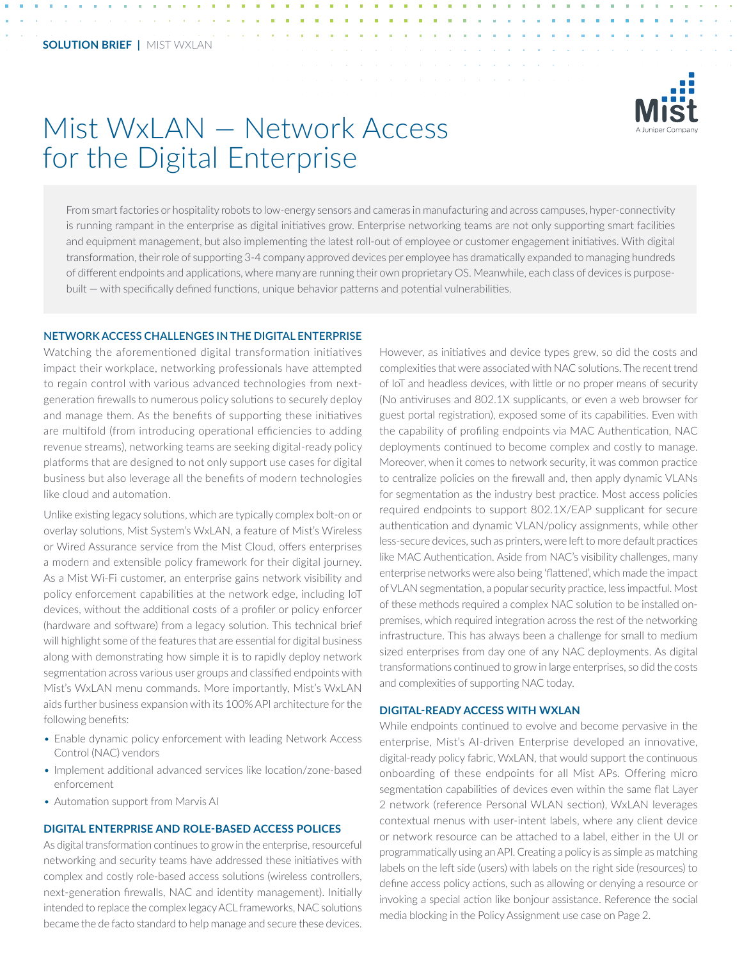

# Mist WxLAN *—* Network Access for the Digital Enterprise

From smart factories or hospitality robots to low-energy sensors and cameras in manufacturing and across campuses, hyper-connectivity is running rampant in the enterprise as digital initiatives grow. Enterprise networking teams are not only supporting smart facilities and equipment management, but also implementing the latest roll-out of employee or customer engagement initiatives. With digital transformation, their role of supporting 3-4 company approved devices per employee has dramatically expanded to managing hundreds of different endpoints and applications, where many are running their own proprietary OS. Meanwhile, each class of devices is purposebuilt — with specifically defined functions, unique behavior patterns and potential vulnerabilities.

#### **NETWORK ACCESS CHALLENGES IN THE DIGITAL ENTERPRISE**

Watching the aforementioned digital transformation initiatives impact their workplace, networking professionals have attempted to regain control with various advanced technologies from nextgeneration firewalls to numerous policy solutions to securely deploy and manage them. As the benefits of supporting these initiatives are multifold (from introducing operational efficiencies to adding revenue streams), networking teams are seeking digital-ready policy platforms that are designed to not only support use cases for digital business but also leverage all the benefits of modern technologies like cloud and automation.

Unlike existing legacy solutions, which are typically complex bolt-on or overlay solutions, Mist System's WxLAN, a feature of Mist's Wireless or Wired Assurance service from the Mist Cloud, offers enterprises a modern and extensible policy framework for their digital journey. As a Mist Wi-Fi customer, an enterprise gains network visibility and policy enforcement capabilities at the network edge, including IoT devices, without the additional costs of a profiler or policy enforcer (hardware and software) from a legacy solution. This technical brief will highlight some of the features that are essential for digital business along with demonstrating how simple it is to rapidly deploy network segmentation across various user groups and classified endpoints with Mist's WxLAN menu commands. More importantly, Mist's WxLAN aids further business expansion with its 100% API architecture for the following benefits:

- Enable dynamic policy enforcement with leading Network Access Control (NAC) vendors
- Implement additional advanced services like location/zone-based enforcement
- Automation support from Marvis AI

# **DIGITAL ENTERPRISE AND ROLE-BASED ACCESS POLICES**

As digital transformation continues to grow in the enterprise, resourceful networking and security teams have addressed these initiatives with complex and costly role-based access solutions (wireless controllers, next-generation firewalls, NAC and identity management). Initially intended to replace the complex legacy ACL frameworks, NAC solutions became the de facto standard to help manage and secure these devices.

However, as initiatives and device types grew, so did the costs and complexities that were associated with NAC solutions. The recent trend of IoT and headless devices, with little or no proper means of security (No antiviruses and 802.1X supplicants, or even a web browser for guest portal registration), exposed some of its capabilities. Even with the capability of profiling endpoints via MAC Authentication, NAC deployments continued to become complex and costly to manage. Moreover, when it comes to network security, it was common practice to centralize policies on the firewall and, then apply dynamic VLANs for segmentation as the industry best practice. Most access policies required endpoints to support 802.1X/EAP supplicant for secure authentication and dynamic VLAN/policy assignments, while other less-secure devices, such as printers, were left to more default practices like MAC Authentication. Aside from NAC's visibility challenges, many enterprise networks were also being 'flattened', which made the impact of VLAN segmentation, a popular security practice, less impactful. Most of these methods required a complex NAC solution to be installed onpremises, which required integration across the rest of the networking infrastructure. This has always been a challenge for small to medium sized enterprises from day one of any NAC deployments. As digital transformations continued to grow in large enterprises, so did the costs and complexities of supporting NAC today.

#### **DIGITAL-READY ACCESS WITH WXLAN**

While endpoints continued to evolve and become pervasive in the enterprise, Mist's AI-driven Enterprise developed an innovative, digital-ready policy fabric, WxLAN, that would support the continuous onboarding of these endpoints for all Mist APs. Offering micro segmentation capabilities of devices even within the same flat Layer 2 network (reference Personal WLAN section), WxLAN leverages contextual menus with user-intent labels, where any client device or network resource can be attached to a label, either in the UI or programmatically using an API. Creating a policy is as simple as matching labels on the left side (users) with labels on the right side (resources) to define access policy actions, such as allowing or denying a resource or invoking a special action like bonjour assistance. Reference the social media blocking in the Policy Assignment use case on Page 2.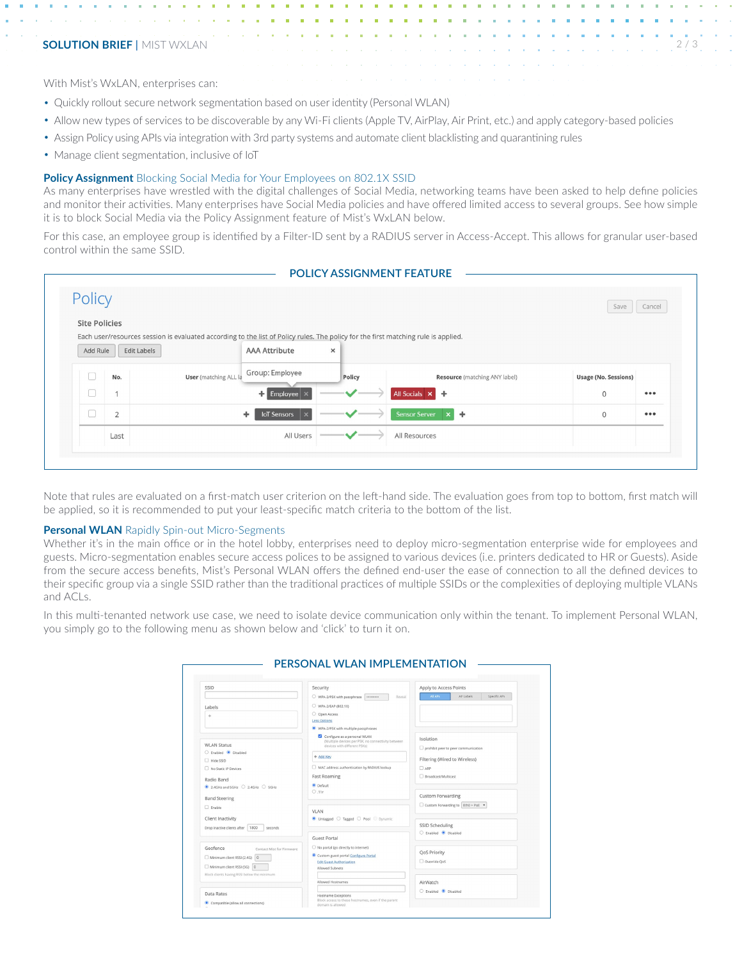## **SOLUTION BRIEF | MIST WXLAN**

With Mist's WxLAN, enterprises can:

- Quickly rollout secure network segmentation based on user identity (Personal WLAN)
- Allow new types of services to be discoverable by any Wi-Fi clients (Apple TV, AirPlay, Air Print, etc.) and apply category-based policies
- Assign Policy using APIs via integration with 3rd party systems and automate client blacklisting and quarantining rules
- Manage client segmentation, inclusive of IoT

#### **Policy Assignment** Blocking Social Media for Your Employees on 802.1X SSID

As many enterprises have wrestled with the digital challenges of Social Media, networking teams have been asked to help define policies and monitor their activities. Many enterprises have Social Media policies and have offered limited access to several groups. See how simple it is to block Social Media via the Policy Assignment feature of Mist's WxLAN below.

For this case, an employee group is identified by a Filter-ID sent by a RADIUS server in Access-Accept. This allows for granular user-based control within the same SSID.

| Policy               |                |                                                                                                                                    |                               |                                      | Save                        | Cancel |
|----------------------|----------------|------------------------------------------------------------------------------------------------------------------------------------|-------------------------------|--------------------------------------|-----------------------------|--------|
| <b>Site Policies</b> |                |                                                                                                                                    |                               |                                      |                             |        |
|                      |                | Each user/resources session is evaluated according to the list of Policy rules. The policy for the first matching rule is applied. |                               |                                      |                             |        |
| Add Rule             | Edit Labels    | <b>AAA Attribute</b>                                                                                                               | $\times$                      |                                      |                             |        |
|                      | No.            | Group: Employee<br><b>User</b> (matching ALL la                                                                                    | Policy                        | <b>Resource</b> (matching ANY label) | <b>Usage (No. Sessions)</b> |        |
|                      | $\overline{1}$ | $\Box$ Employee $\times$                                                                                                           | $\checkmark$                  | All Socials X                        | $\circ$                     | 000    |
|                      | $\overline{2}$ | <b>IoT</b> Sensors<br>÷                                                                                                            | $\checkmark$                  | <b>Sensor Server</b><br>$x +$        | $\mathbf 0$                 | 000    |
|                      | Last           | All Users                                                                                                                          | $\checkmark$ and $\checkmark$ | All Resources                        |                             |        |

Note that rules are evaluated on a first-match user criterion on the left-hand side. The evaluation goes from top to bottom, first match will be applied, so it is recommended to put your least-specific match criteria to the bottom of the list.

#### **Personal WLAN** Rapidly Spin-out Micro-Segments

Whether it's in the main office or in the hotel lobby, enterprises need to deploy micro-segmentation enterprise wide for employees and guests. Micro-segmentation enables secure access polices to be assigned to various devices (i.e. printers dedicated to HR or Guests). Aside from the secure access benefits, Mist's Personal WLAN offers the defined end-user the ease of connection to all the defined devices to their specific group via a single SSID rather than the traditional practices of multiple SSIDs or the complexities of deploying multiple VLANs and ACLs.

In this multi-tenanted network use case, we need to isolate device communication only within the tenant. To implement Personal WLAN, you simply go to the following menu as shown below and 'click' to turn it on.

| SSID                                                  | Security                                                                                                           | Apply to Access Points                                  |  |
|-------------------------------------------------------|--------------------------------------------------------------------------------------------------------------------|---------------------------------------------------------|--|
|                                                       | O WPA-2/PSK with passphrase<br>Reveal<br>                                                                          | All APs<br>AP Labels<br>Specific APs                    |  |
| Labels                                                | WPA-2/EAP (802.1X)                                                                                                 |                                                         |  |
|                                                       | O Open Access                                                                                                      |                                                         |  |
| $\Phi$                                                | <b>Less Options</b>                                                                                                |                                                         |  |
|                                                       | WPA-2/PSK with multiple passphrases                                                                                |                                                         |  |
| <b>WLAN Status</b>                                    | Configure as a personal WLAN<br>(Multiple devices per PSK, no connectivity between<br>devices with different PSKs) | <b>Isolation</b><br>prohibit peer to peer communication |  |
| C Enabled C Disabled                                  | + Add Key                                                                                                          |                                                         |  |
| CI22 ebiH                                             |                                                                                                                    | Filtering (Wired to Wireless)                           |  |
| No Static IP Devices                                  | MAC address authentication by RADIUS lookup                                                                        | $\Box$ ARP                                              |  |
| Radio Band                                            | <b>Fast Roaming</b>                                                                                                | Rroadcast/Multicast                                     |  |
| $\bullet$ 2.4GHz and 5GHz $\circ$ 2.4GHz $\circ$ 5GHz | · Default                                                                                                          |                                                         |  |
|                                                       | 0.11r                                                                                                              | <b>Custom Forwarding</b>                                |  |
| <b>Band Steering</b>                                  |                                                                                                                    | Custom Forwarding to Eth0 + PoE v                       |  |
| $\Box$ Frable                                         | VLAN                                                                                                               |                                                         |  |
| Client Inactivity                                     | O Untagged O Tagged O Pool O Dynamic                                                                               | SSID Scheduling                                         |  |
| Drop inactive clients after   1800<br>seconds         |                                                                                                                    |                                                         |  |
|                                                       |                                                                                                                    | C Friabled C Disabled                                   |  |
|                                                       | <b>Guest Portal</b>                                                                                                |                                                         |  |
| Geofence<br>Contact Mist for Firmware                 | ○ No portal (go directly to internet)                                                                              | <b>QoS Priority</b>                                     |  |
| Minimum client RSSI (2.4G) 0                          | Custom guest portal Configure Portal<br><b>Edit Guest Authorization</b>                                            | Override OoS                                            |  |
| Minimum client RSSI (5G) 0                            | Allowed Subnets                                                                                                    |                                                         |  |
| Block clients having RSSI below the minimum           |                                                                                                                    |                                                         |  |
|                                                       | Allowed Hostnames                                                                                                  | AirWatch                                                |  |
|                                                       |                                                                                                                    | C Enabled C Disabled                                    |  |
| Data Rates                                            | Hostname Exceptions<br>Block access to these hostnames, even if the parent                                         |                                                         |  |